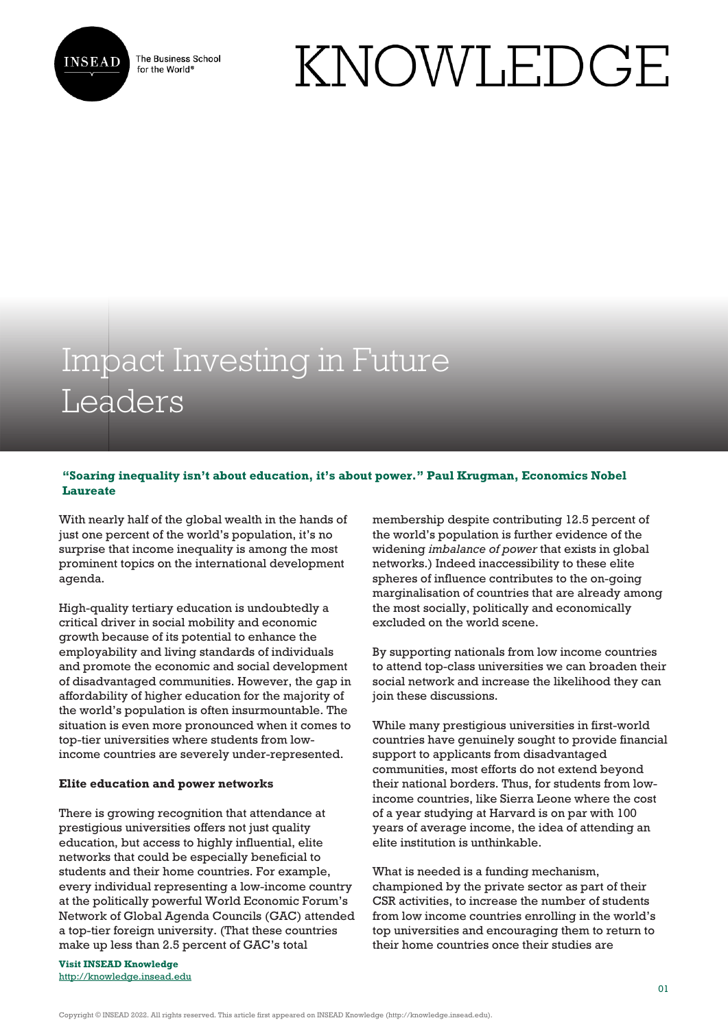

The Business School for the World<sup>®</sup>

# KNOWLEDGE

# Impact Investing in Future Leaders

# **"Soaring inequality isn't about education, it's about power." Paul Krugman, Economics Nobel Laureate**

With nearly half of the global wealth in the hands of just one percent of the world's population, it's no surprise that income inequality is among the most prominent topics on the international development agenda.

High-quality tertiary education is undoubtedly a critical driver in social mobility and economic growth because of its potential to enhance the employability and living standards of individuals and promote the economic and social development of disadvantaged communities. However, the gap in affordability of higher education for the majority of the world's population is often insurmountable. The situation is even more pronounced when it comes to top-tier universities where students from lowincome countries are severely under-represented.

### **Elite education and power networks**

There is growing recognition that attendance at prestigious universities offers not just quality education, but access to highly influential, elite networks that could be especially beneficial to students and their home countries. For example, every individual representing a low-income country at the politically powerful World Economic Forum's Network of Global Agenda Councils (GAC) attended a top-tier foreign university. (That these countries make up less than 2.5 percent of GAC's total

**Visit INSEAD Knowledge** <http://knowledge.insead.edu> membership despite contributing 12.5 percent of the world's population is further evidence of the widening *imbalance of power* that exists in global networks.) Indeed inaccessibility to these elite spheres of influence contributes to the on-going marginalisation of countries that are already among the most socially, politically and economically excluded on the world scene.

By supporting nationals from low income countries to attend top-class universities we can broaden their social network and increase the likelihood they can join these discussions.

While many prestigious universities in first-world countries have genuinely sought to provide financial support to applicants from disadvantaged communities, most efforts do not extend beyond their national borders. Thus, for students from lowincome countries, like Sierra Leone where the cost of a year studying at Harvard is on par with 100 years of average income, the idea of attending an elite institution is unthinkable.

What is needed is a funding mechanism, championed by the private sector as part of their CSR activities, to increase the number of students from low income countries enrolling in the world's top universities and encouraging them to return to their home countries once their studies are

Copyright © INSEAD 2022. All rights reserved. This article first appeared on INSEAD Knowledge (http://knowledge.insead.edu).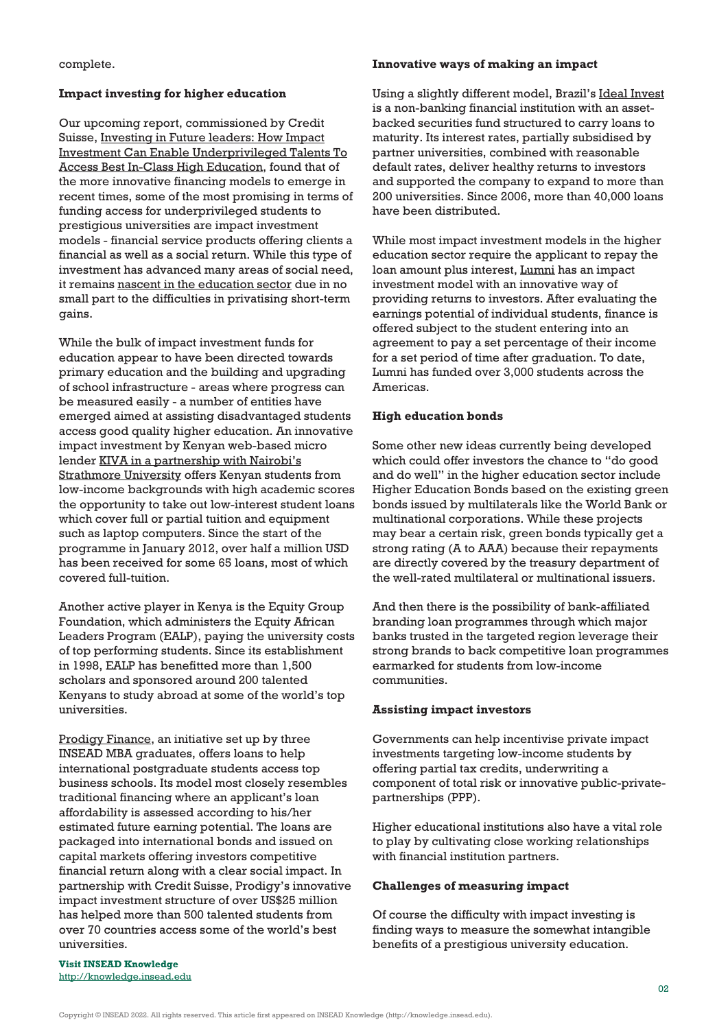complete.

#### **Impact investing for higher education**

Our upcoming report, commissioned by Credit Suisse, Investing in Future leaders: How Impact Investment Can Enable Underprivileged Talents To Access Best In-Class High Education, found that of the more innovative financing models to emerge in recent times, some of the most promising in terms of funding access for underprivileged students to prestigious universities are impact investment models - financial service products offering clients a financial as well as a social return. While this type of investment has advanced many areas of social need, it remains [nascent in the education sector](http://www.opensocietyfoundations.org/sites/default/files/impact-investing-education-overview-current-landscape-20140106_0.pdf) due in no small part to the difficulties in privatising short-term gains.

While the bulk of impact investment funds for education appear to have been directed towards primary education and the building and upgrading of school infrastructure - areas where progress can be measured easily - a number of entities have emerged aimed at assisting disadvantaged students access good quality higher education. An innovative impact investment by Kenyan web-based micro lender [KIVA in a partnership with Nairobi's](http://www.kiva.org/partners/218) [Strathmore University](http://www.kiva.org/partners/218) offers Kenyan students from low-income backgrounds with high academic scores the opportunity to take out low-interest student loans which cover full or partial tuition and equipment such as laptop computers. Since the start of the programme in January 2012, over half a million USD has been received for some 65 loans, most of which covered full-tuition.

Another active player in Kenya is the Equity Group Foundation, which administers the Equity African Leaders Program (EALP), paying the university costs of top performing students. Since its establishment in 1998, EALP has benefitted more than 1,500 scholars and sponsored around 200 talented Kenyans to study abroad at some of the world's top universities.

[Prodigy Finance,](https://prodigyfinance.com/about_us) an initiative set up by three INSEAD MBA graduates, offers loans to help international postgraduate students access top business schools. Its model most closely resembles traditional financing where an applicant's loan affordability is assessed according to his/her estimated future earning potential. The loans are packaged into international bonds and issued on capital markets offering investors competitive financial return along with a clear social impact. In partnership with Credit Suisse, Prodigy's innovative impact investment structure of over US\$25 million has helped more than 500 talented students from over 70 countries access some of the world's best universities.

#### **Innovative ways of making an impact**

Using a slightly different model, Brazil's [Ideal Invest](http://www.ifc.org/wps/wcm/connect/7d1a71804d332f208991cdf81ee631cc/Ideal+Invest.pdf?MOD=AJPERES) is a non-banking financial institution with an assetbacked securities fund structured to carry loans to maturity. Its interest rates, partially subsidised by partner universities, combined with reasonable default rates, deliver healthy returns to investors and supported the company to expand to more than 200 universities. Since 2006, more than 40,000 loans have been distributed.

While most impact investment models in the higher education sector require the applicant to repay the loan amount plus interest, [Lumni](http://www.lumniusa.net/) has an impact investment model with an innovative way of providing returns to investors. After evaluating the earnings potential of individual students, finance is offered subject to the student entering into an agreement to pay a set percentage of their income for a set period of time after graduation. To date, Lumni has funded over 3,000 students across the Americas.

#### **High education bonds**

Some other new ideas currently being developed which could offer investors the chance to "do good and do well" in the higher education sector include Higher Education Bonds based on the existing green bonds issued by multilaterals like the World Bank or multinational corporations. While these projects may bear a certain risk, green bonds typically get a strong rating (A to AAA) because their repayments are directly covered by the treasury department of the well-rated multilateral or multinational issuers.

And then there is the possibility of bank-affiliated branding loan programmes through which major banks trusted in the targeted region leverage their strong brands to back competitive loan programmes earmarked for students from low-income communities.

#### **Assisting impact investors**

Governments can help incentivise private impact investments targeting low-income students by offering partial tax credits, underwriting a component of total risk or innovative public-privatepartnerships (PPP).

Higher educational institutions also have a vital role to play by cultivating close working relationships with financial institution partners.

#### **Challenges of measuring impact**

Of course the difficulty with impact investing is finding ways to measure the somewhat intangible benefits of a prestigious university education.

**Visit INSEAD Knowledge** <http://knowledge.insead.edu>

Copyright © INSEAD 2022. All rights reserved. This article first appeared on INSEAD Knowledge (http://knowledge.insead.edu).